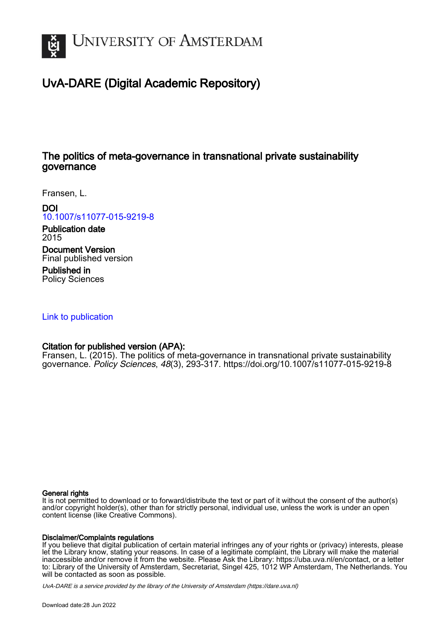

# UvA-DARE (Digital Academic Repository)

## The politics of meta-governance in transnational private sustainability governance

Fransen, L.

DOI

[10.1007/s11077-015-9219-8](https://doi.org/10.1007/s11077-015-9219-8)

Publication date 2015

Document Version Final published version

Published in Policy Sciences

[Link to publication](https://dare.uva.nl/personal/pure/en/publications/the-politics-of-metagovernance-in-transnational-private-sustainability-governance(6b23729f-780b-4b01-bc38-e45946717bbc).html)

## Citation for published version (APA):

Fransen, L. (2015). The politics of meta-governance in transnational private sustainability governance. Policy Sciences, 48(3), 293-317.<https://doi.org/10.1007/s11077-015-9219-8>

#### General rights

It is not permitted to download or to forward/distribute the text or part of it without the consent of the author(s) and/or copyright holder(s), other than for strictly personal, individual use, unless the work is under an open content license (like Creative Commons).

### Disclaimer/Complaints regulations

If you believe that digital publication of certain material infringes any of your rights or (privacy) interests, please let the Library know, stating your reasons. In case of a legitimate complaint, the Library will make the material inaccessible and/or remove it from the website. Please Ask the Library: https://uba.uva.nl/en/contact, or a letter to: Library of the University of Amsterdam, Secretariat, Singel 425, 1012 WP Amsterdam, The Netherlands. You will be contacted as soon as possible.

UvA-DARE is a service provided by the library of the University of Amsterdam (http*s*://dare.uva.nl)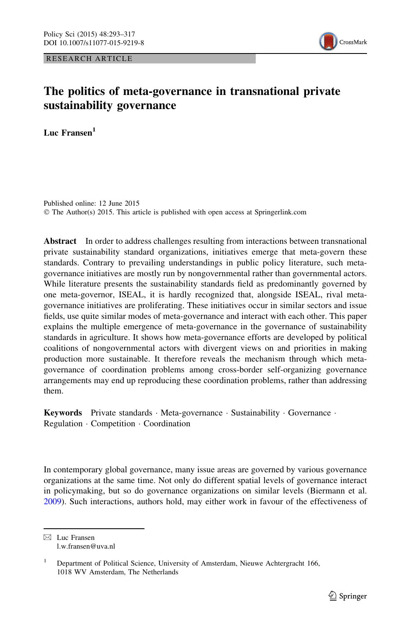RESEARCH ARTICLE



## The politics of meta-governance in transnational private sustainability governance

Luc Fransen<sup>1</sup>

Published online: 12 June 2015 © The Author(s) 2015. This article is published with open access at Springerlink.com

Abstract In order to address challenges resulting from interactions between transnational private sustainability standard organizations, initiatives emerge that meta-govern these standards. Contrary to prevailing understandings in public policy literature, such metagovernance initiatives are mostly run by nongovernmental rather than governmental actors. While literature presents the sustainability standards field as predominantly governed by one meta-governor, ISEAL, it is hardly recognized that, alongside ISEAL, rival metagovernance initiatives are proliferating. These initiatives occur in similar sectors and issue fields, use quite similar modes of meta-governance and interact with each other. This paper explains the multiple emergence of meta-governance in the governance of sustainability standards in agriculture. It shows how meta-governance efforts are developed by political coalitions of nongovernmental actors with divergent views on and priorities in making production more sustainable. It therefore reveals the mechanism through which metagovernance of coordination problems among cross-border self-organizing governance arrangements may end up reproducing these coordination problems, rather than addressing them.

Keywords Private standards · Meta-governance · Sustainability · Governance · Regulation - Competition - Coordination

In contemporary global governance, many issue areas are governed by various governance organizations at the same time. Not only do different spatial levels of governance interact in policymaking, but so do governance organizations on similar levels (Biermann et al. [2009\)](#page-23-0). Such interactions, authors hold, may either work in favour of the effectiveness of

 $\boxtimes$  Luc Fransen l.w.fransen@uva.nl

<sup>&</sup>lt;sup>1</sup> Department of Political Science, University of Amsterdam, Nieuwe Achtergracht 166, 1018 WV Amsterdam, The Netherlands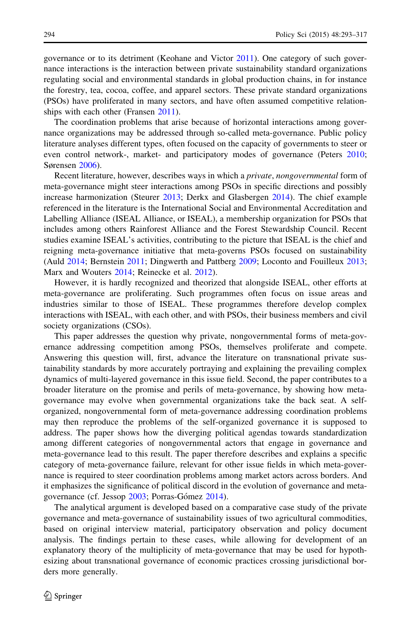governance or to its detriment (Keohane and Victor [2011\)](#page-24-0). One category of such governance interactions is the interaction between private sustainability standard organizations regulating social and environmental standards in global production chains, in for instance the forestry, tea, cocoa, coffee, and apparel sectors. These private standard organizations (PSOs) have proliferated in many sectors, and have often assumed competitive relationships with each other (Fransen [2011\)](#page-24-0).

The coordination problems that arise because of horizontal interactions among governance organizations may be addressed through so-called meta-governance. Public policy literature analyses different types, often focused on the capacity of governments to steer or even control network-, market- and participatory modes of governance (Peters [2010;](#page-25-0) Sørensen [2006\)](#page-25-0).

Recent literature, however, describes ways in which a private, nongovernmental form of meta-governance might steer interactions among PSOs in specific directions and possibly increase harmonization (Steurer [2013](#page-25-0); Derkx and Glasbergen [2014](#page-23-0)). The chief example referenced in the literature is the International Social and Environmental Accreditation and Labelling Alliance (ISEAL Alliance, or ISEAL), a membership organization for PSOs that includes among others Rainforest Alliance and the Forest Stewardship Council. Recent studies examine ISEAL's activities, contributing to the picture that ISEAL is the chief and reigning meta-governance initiative that meta-governs PSOs focused on sustainability (Auld [2014;](#page-23-0) Bernstein [2011;](#page-23-0) Dingwerth and Pattberg [2009](#page-24-0); Loconto and Fouilleux [2013;](#page-24-0) Marx and Wouters [2014](#page-24-0); Reinecke et al. [2012](#page-25-0)).

However, it is hardly recognized and theorized that alongside ISEAL, other efforts at meta-governance are proliferating. Such programmes often focus on issue areas and industries similar to those of ISEAL. These programmes therefore develop complex interactions with ISEAL, with each other, and with PSOs, their business members and civil society organizations (CSOs).

This paper addresses the question why private, nongovernmental forms of meta-governance addressing competition among PSOs, themselves proliferate and compete. Answering this question will, first, advance the literature on transnational private sustainability standards by more accurately portraying and explaining the prevailing complex dynamics of multi-layered governance in this issue field. Second, the paper contributes to a broader literature on the promise and perils of meta-governance, by showing how metagovernance may evolve when governmental organizations take the back seat. A selforganized, nongovernmental form of meta-governance addressing coordination problems may then reproduce the problems of the self-organized governance it is supposed to address. The paper shows how the diverging political agendas towards standardization among different categories of nongovernmental actors that engage in governance and meta-governance lead to this result. The paper therefore describes and explains a specific category of meta-governance failure, relevant for other issue fields in which meta-governance is required to steer coordination problems among market actors across borders. And it emphasizes the significance of political discord in the evolution of governance and meta-governance (cf. Jessop [2003](#page-24-0); Porras-Gómez [2014](#page-25-0)).

The analytical argument is developed based on a comparative case study of the private governance and meta-governance of sustainability issues of two agricultural commodities, based on original interview material, participatory observation and policy document analysis. The findings pertain to these cases, while allowing for development of an explanatory theory of the multiplicity of meta-governance that may be used for hypothesizing about transnational governance of economic practices crossing jurisdictional borders more generally.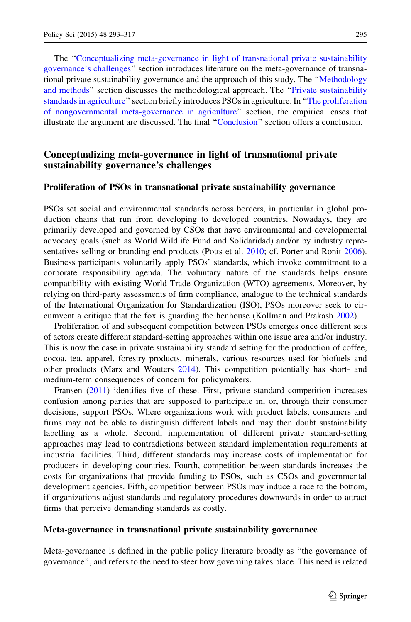The ''Conceptualizing meta-governance in light of transnational private sustainability governance's challenges'' section introduces literature on the meta-governance of transnational private sustainability governance and the approach of this study. The ''[Methodology](#page-9-0) [and methods'](#page-9-0)' section discusses the methodological approach. The '['Private sustainability](#page-10-0) [standards in agriculture](#page-10-0)'' section briefly introduces PSOs in agriculture. In ''[The proliferation](#page-11-0) [of nongovernmental meta-governance in agriculture](#page-11-0)'' section, the empirical cases that illustrate the argument are discussed. The final ''[Conclusion'](#page-22-0)' section offers a conclusion.

#### Conceptualizing meta-governance in light of transnational private sustainability governance's challenges

#### Proliferation of PSOs in transnational private sustainability governance

PSOs set social and environmental standards across borders, in particular in global production chains that run from developing to developed countries. Nowadays, they are primarily developed and governed by CSOs that have environmental and developmental advocacy goals (such as World Wildlife Fund and Solidaridad) and/or by industry representatives selling or branding end products (Potts et al. [2010](#page-25-0); cf. Porter and Ronit [2006](#page-25-0)). Business participants voluntarily apply PSOs' standards, which invoke commitment to a corporate responsibility agenda. The voluntary nature of the standards helps ensure compatibility with existing World Trade Organization (WTO) agreements. Moreover, by relying on third-party assessments of firm compliance, analogue to the technical standards of the International Organization for Standardization (ISO), PSOs moreover seek to circumvent a critique that the fox is guarding the henhouse (Kollman and Prakash [2002\)](#page-24-0).

Proliferation of and subsequent competition between PSOs emerges once different sets of actors create different standard-setting approaches within one issue area and/or industry. This is now the case in private sustainability standard setting for the production of coffee, cocoa, tea, apparel, forestry products, minerals, various resources used for biofuels and other products (Marx and Wouters [2014](#page-24-0)). This competition potentially has short- and medium-term consequences of concern for policymakers.

Fransen [\(2011](#page-24-0)) identifies five of these. First, private standard competition increases confusion among parties that are supposed to participate in, or, through their consumer decisions, support PSOs. Where organizations work with product labels, consumers and firms may not be able to distinguish different labels and may then doubt sustainability labelling as a whole. Second, implementation of different private standard-setting approaches may lead to contradictions between standard implementation requirements at industrial facilities. Third, different standards may increase costs of implementation for producers in developing countries. Fourth, competition between standards increases the costs for organizations that provide funding to PSOs, such as CSOs and governmental development agencies. Fifth, competition between PSOs may induce a race to the bottom, if organizations adjust standards and regulatory procedures downwards in order to attract firms that perceive demanding standards as costly.

#### Meta-governance in transnational private sustainability governance

Meta-governance is defined in the public policy literature broadly as ''the governance of governance'', and refers to the need to steer how governing takes place. This need is related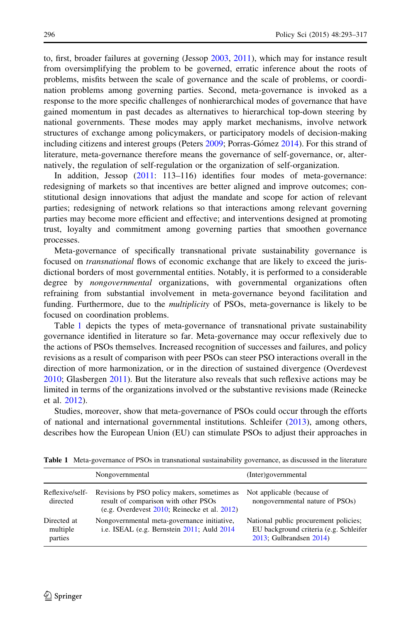to, first, broader failures at governing (Jessop [2003,](#page-24-0) [2011\)](#page-24-0), which may for instance result from oversimplifying the problem to be governed, erratic inference about the roots of problems, misfits between the scale of governance and the scale of problems, or coordination problems among governing parties. Second, meta-governance is invoked as a response to the more specific challenges of nonhierarchical modes of governance that have gained momentum in past decades as alternatives to hierarchical top-down steering by national governments. These modes may apply market mechanisms, involve network structures of exchange among policymakers, or participatory models of decision-making including citizens and interest groups (Peters [2009;](#page-25-0) Porras-Gómez [2014\)](#page-25-0). For this strand of literature, meta-governance therefore means the governance of self-governance, or, alternatively, the regulation of self-regulation or the organization of self-organization.

In addition, Jessop [\(2011:](#page-24-0) 113–116) identifies four modes of meta-governance: redesigning of markets so that incentives are better aligned and improve outcomes; constitutional design innovations that adjust the mandate and scope for action of relevant parties; redesigning of network relations so that interactions among relevant governing parties may become more efficient and effective; and interventions designed at promoting trust, loyalty and commitment among governing parties that smoothen governance processes.

Meta-governance of specifically transnational private sustainability governance is focused on *transnational* flows of economic exchange that are likely to exceed the jurisdictional borders of most governmental entities. Notably, it is performed to a considerable degree by *nongovernmental* organizations, with governmental organizations often refraining from substantial involvement in meta-governance beyond facilitation and funding. Furthermore, due to the *multiplicity* of PSOs, meta-governance is likely to be focused on coordination problems.

Table 1 depicts the types of meta-governance of transnational private sustainability governance identified in literature so far. Meta-governance may occur reflexively due to the actions of PSOs themselves. Increased recognition of successes and failures, and policy revisions as a result of comparison with peer PSOs can steer PSO interactions overall in the direction of more harmonization, or in the direction of sustained divergence (Overdevest [2010;](#page-24-0) Glasbergen [2011](#page-24-0)). But the literature also reveals that such reflexive actions may be limited in terms of the organizations involved or the substantive revisions made (Reinecke et al. [2012](#page-25-0)).

Studies, moreover, show that meta-governance of PSOs could occur through the efforts of national and international governmental institutions. Schleifer ([2013\)](#page-25-0), among others, describes how the European Union (EU) can stimulate PSOs to adjust their approaches in

|                                    | Nongovernmental                                                                                                                            | (Inter)governmental                                                                                        |
|------------------------------------|--------------------------------------------------------------------------------------------------------------------------------------------|------------------------------------------------------------------------------------------------------------|
| Reflexive/self-<br>directed        | Revisions by PSO policy makers, sometimes as<br>result of comparison with other PSOs<br>(e.g. Overdevest $2010$ ; Reinecke et al. $2012$ ) | Not applicable (because of<br>nongovernmental nature of PSOs)                                              |
| Directed at<br>multiple<br>parties | Nongovernmental meta-governance initiative,<br>i.e. ISEAL (e.g. Bernstein 2011; Auld 2014)                                                 | National public procurement policies;<br>EU background criteria (e.g. Schleifer<br>2013; Gulbrandsen 2014) |

Table 1 Meta-governance of PSOs in transnational sustainability governance, as discussed in the literature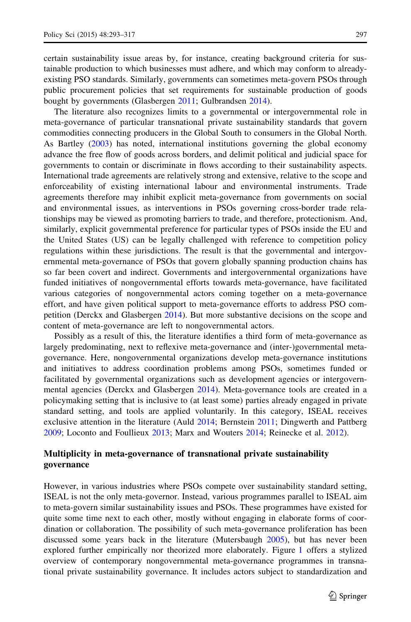certain sustainability issue areas by, for instance, creating background criteria for sustainable production to which businesses must adhere, and which may conform to alreadyexisting PSO standards. Similarly, governments can sometimes meta-govern PSOs through public procurement policies that set requirements for sustainable production of goods bought by governments (Glasbergen [2011](#page-24-0); Gulbrandsen [2014\)](#page-24-0).

The literature also recognizes limits to a governmental or intergovernmental role in meta-governance of particular transnational private sustainability standards that govern commodities connecting producers in the Global South to consumers in the Global North. As Bartley ([2003\)](#page-23-0) has noted, international institutions governing the global economy advance the free flow of goods across borders, and delimit political and judicial space for governments to contain or discriminate in flows according to their sustainability aspects. International trade agreements are relatively strong and extensive, relative to the scope and enforceability of existing international labour and environmental instruments. Trade agreements therefore may inhibit explicit meta-governance from governments on social and environmental issues, as interventions in PSOs governing cross-border trade relationships may be viewed as promoting barriers to trade, and therefore, protectionism. And, similarly, explicit governmental preference for particular types of PSOs inside the EU and the United States (US) can be legally challenged with reference to competition policy regulations within these jurisdictions. The result is that the governmental and intergovernmental meta-governance of PSOs that govern globally spanning production chains has so far been covert and indirect. Governments and intergovernmental organizations have funded initiatives of nongovernmental efforts towards meta-governance, have facilitated various categories of nongovernmental actors coming together on a meta-governance effort, and have given political support to meta-governance efforts to address PSO competition (Derckx and Glasbergen [2014\)](#page-23-0). But more substantive decisions on the scope and content of meta-governance are left to nongovernmental actors.

Possibly as a result of this, the literature identifies a third form of meta-governance as largely predominating, next to reflexive meta-governance and (inter-)governmental metagovernance. Here, nongovernmental organizations develop meta-governance institutions and initiatives to address coordination problems among PSOs, sometimes funded or facilitated by governmental organizations such as development agencies or intergovernmental agencies (Derckx and Glasbergen [2014](#page-23-0)). Meta-governance tools are created in a policymaking setting that is inclusive to (at least some) parties already engaged in private standard setting, and tools are applied voluntarily. In this category, ISEAL receives exclusive attention in the literature (Auld [2014;](#page-23-0) Bernstein [2011](#page-23-0); Dingwerth and Pattberg [2009;](#page-24-0) Loconto and Foullieux [2013;](#page-24-0) Marx and Wouters [2014](#page-24-0); Reinecke et al. [2012\)](#page-25-0).

#### Multiplicity in meta-governance of transnational private sustainability governance

However, in various industries where PSOs compete over sustainability standard setting, ISEAL is not the only meta-governor. Instead, various programmes parallel to ISEAL aim to meta-govern similar sustainability issues and PSOs. These programmes have existed for quite some time next to each other, mostly without engaging in elaborate forms of coordination or collaboration. The possibility of such meta-governance proliferation has been discussed some years back in the literature (Mutersbaugh [2005](#page-24-0)), but has never been explored further empirically nor theorized more elaborately. Figure [1](#page-6-0) offers a stylized overview of contemporary nongovernmental meta-governance programmes in transnational private sustainability governance. It includes actors subject to standardization and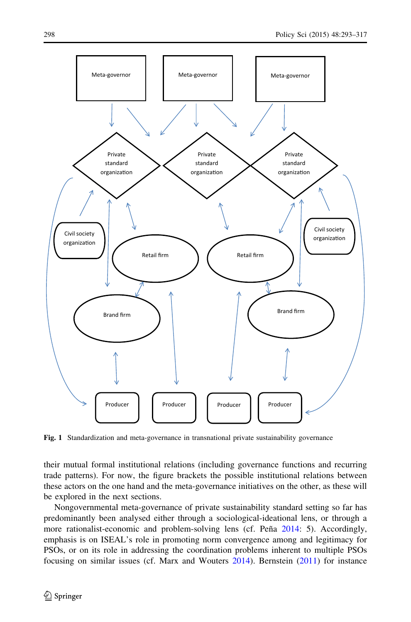<span id="page-6-0"></span>

Fig. 1 Standardization and meta-governance in transnational private sustainability governance

their mutual formal institutional relations (including governance functions and recurring trade patterns). For now, the figure brackets the possible institutional relations between these actors on the one hand and the meta-governance initiatives on the other, as these will be explored in the next sections.

Nongovernmental meta-governance of private sustainability standard setting so far has predominantly been analysed either through a sociological-ideational lens, or through a more rationalist-economic and problem-solving lens (cf. Peña [2014](#page-25-0): 5). Accordingly, emphasis is on ISEAL's role in promoting norm convergence among and legitimacy for PSOs, or on its role in addressing the coordination problems inherent to multiple PSOs focusing on similar issues (cf. Marx and Wouters [2014\)](#page-24-0). Bernstein [\(2011](#page-23-0)) for instance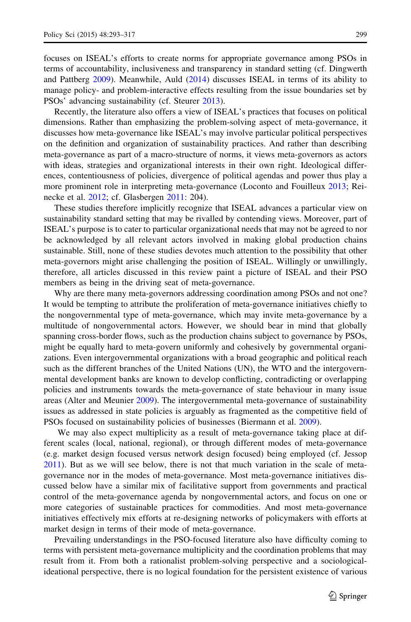focuses on ISEAL's efforts to create norms for appropriate governance among PSOs in terms of accountability, inclusiveness and transparency in standard setting (cf. Dingwerth and Pattberg [2009](#page-24-0)). Meanwhile, Auld [\(2014\)](#page-23-0) discusses ISEAL in terms of its ability to manage policy- and problem-interactive effects resulting from the issue boundaries set by PSOs' advancing sustainability (cf. Steurer [2013\)](#page-25-0).

Recently, the literature also offers a view of ISEAL's practices that focuses on political dimensions. Rather than emphasizing the problem-solving aspect of meta-governance, it discusses how meta-governance like ISEAL's may involve particular political perspectives on the definition and organization of sustainability practices. And rather than describing meta-governance as part of a macro-structure of norms, it views meta-governors as actors with ideas, strategies and organizational interests in their own right. Ideological differences, contentiousness of policies, divergence of political agendas and power thus play a more prominent role in interpreting meta-governance (Loconto and Fouilleux [2013](#page-24-0); Reinecke et al. [2012](#page-25-0); cf. Glasbergen [2011](#page-24-0): 204).

These studies therefore implicitly recognize that ISEAL advances a particular view on sustainability standard setting that may be rivalled by contending views. Moreover, part of ISEAL's purpose is to cater to particular organizational needs that may not be agreed to nor be acknowledged by all relevant actors involved in making global production chains sustainable. Still, none of these studies devotes much attention to the possibility that other meta-governors might arise challenging the position of ISEAL. Willingly or unwillingly, therefore, all articles discussed in this review paint a picture of ISEAL and their PSO members as being in the driving seat of meta-governance.

Why are there many meta-governors addressing coordination among PSOs and not one? It would be tempting to attribute the proliferation of meta-governance initiatives chiefly to the nongovernmental type of meta-governance, which may invite meta-governance by a multitude of nongovernmental actors. However, we should bear in mind that globally spanning cross-border flows, such as the production chains subject to governance by PSOs, might be equally hard to meta-govern uniformly and cohesively by governmental organizations. Even intergovernmental organizations with a broad geographic and political reach such as the different branches of the United Nations (UN), the WTO and the intergovernmental development banks are known to develop conflicting, contradicting or overlapping policies and instruments towards the meta-governance of state behaviour in many issue areas (Alter and Meunier [2009\)](#page-23-0). The intergovernmental meta-governance of sustainability issues as addressed in state policies is arguably as fragmented as the competitive field of PSOs focused on sustainability policies of businesses (Biermann et al. [2009\)](#page-23-0).

We may also expect multiplicity as a result of meta-governance taking place at different scales (local, national, regional), or through different modes of meta-governance (e.g. market design focused versus network design focused) being employed (cf. Jessop [2011\)](#page-24-0). But as we will see below, there is not that much variation in the scale of metagovernance nor in the modes of meta-governance. Most meta-governance initiatives discussed below have a similar mix of facilitative support from governments and practical control of the meta-governance agenda by nongovernmental actors, and focus on one or more categories of sustainable practices for commodities. And most meta-governance initiatives effectively mix efforts at re-designing networks of policymakers with efforts at market design in terms of their mode of meta-governance.

Prevailing understandings in the PSO-focused literature also have difficulty coming to terms with persistent meta-governance multiplicity and the coordination problems that may result from it. From both a rationalist problem-solving perspective and a sociologicalideational perspective, there is no logical foundation for the persistent existence of various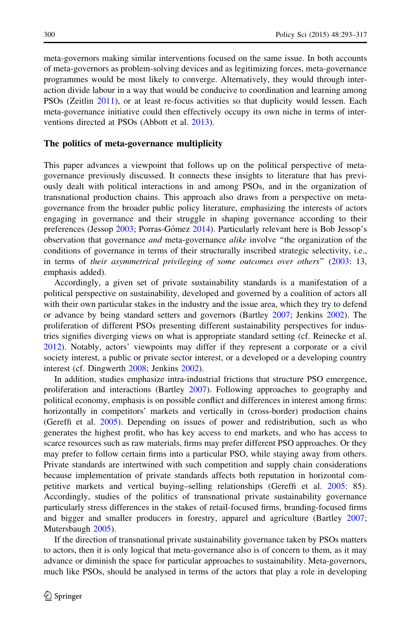meta-governors making similar interventions focused on the same issue. In both accounts of meta-governors as problem-solving devices and as legitimizing forces, meta-governance programmes would be most likely to converge. Alternatively, they would through interaction divide labour in a way that would be conducive to coordination and learning among PSOs (Zeitlin [2011\)](#page-25-0), or at least re-focus activities so that duplicity would lessen. Each meta-governance initiative could then effectively occupy its own niche in terms of interventions directed at PSOs (Abbott et al. [2013\)](#page-23-0).

#### The politics of meta-governance multiplicity

This paper advances a viewpoint that follows up on the political perspective of metagovernance previously discussed. It connects these insights to literature that has previously dealt with political interactions in and among PSOs, and in the organization of transnational production chains. This approach also draws from a perspective on metagovernance from the broader public policy literature, emphasizing the interests of actors engaging in governance and their struggle in shaping governance according to their preferences (Jessop [2003;](#page-24-0) Porras-Gómez [2014](#page-25-0)). Particularly relevant here is Bob Jessop's observation that governance *and* meta-governance *alike* involve "the organization of the conditions of governance in terms of their structurally inscribed strategic selectivity, i.e., in terms of their asymmetrical privileging of some outcomes over others'' ([2003:](#page-24-0) 13, emphasis added).

Accordingly, a given set of private sustainability standards is a manifestation of a political perspective on sustainability, developed and governed by a coalition of actors all with their own particular stakes in the industry and the issue area, which they try to defend or advance by being standard setters and governors (Bartley [2007](#page-23-0); Jenkins [2002](#page-24-0)). The proliferation of different PSOs presenting different sustainability perspectives for industries signifies diverging views on what is appropriate standard setting (cf. Reinecke et al. [2012\)](#page-25-0). Notably, actors' viewpoints may differ if they represent a corporate or a civil society interest, a public or private sector interest, or a developed or a developing country interest (cf. Dingwerth [2008;](#page-24-0) Jenkins [2002\)](#page-24-0).

In addition, studies emphasize intra-industrial frictions that structure PSO emergence, proliferation and interactions (Bartley [2007](#page-23-0)). Following approaches to geography and political economy, emphasis is on possible conflict and differences in interest among firms: horizontally in competitors' markets and vertically in (cross-border) production chains (Gereffi et al. [2005\)](#page-24-0). Depending on issues of power and redistribution, such as who generates the highest profit, who has key access to end markets, and who has access to scarce resources such as raw materials, firms may prefer different PSO approaches. Or they may prefer to follow certain firms into a particular PSO, while staying away from others. Private standards are intertwined with such competition and supply chain considerations because implementation of private standards affects both reputation in horizontal competitive markets and vertical buying–selling relationships (Gereffi et al. [2005](#page-24-0): 85). Accordingly, studies of the politics of transnational private sustainability governance particularly stress differences in the stakes of retail-focused firms, branding-focused firms and bigger and smaller producers in forestry, apparel and agriculture (Bartley [2007;](#page-23-0) Mutersbaugh [2005\)](#page-24-0).

If the direction of transnational private sustainability governance taken by PSOs matters to actors, then it is only logical that meta-governance also is of concern to them, as it may advance or diminish the space for particular approaches to sustainability. Meta-governors, much like PSOs, should be analysed in terms of the actors that play a role in developing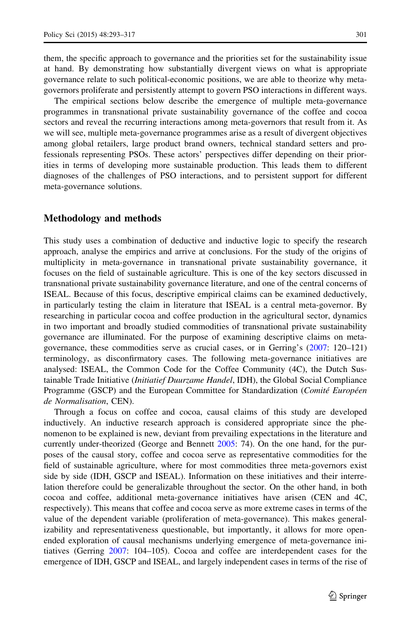<span id="page-9-0"></span>them, the specific approach to governance and the priorities set for the sustainability issue at hand. By demonstrating how substantially divergent views on what is appropriate governance relate to such political-economic positions, we are able to theorize why metagovernors proliferate and persistently attempt to govern PSO interactions in different ways.

The empirical sections below describe the emergence of multiple meta-governance programmes in transnational private sustainability governance of the coffee and cocoa sectors and reveal the recurring interactions among meta-governors that result from it. As we will see, multiple meta-governance programmes arise as a result of divergent objectives among global retailers, large product brand owners, technical standard setters and professionals representing PSOs. These actors' perspectives differ depending on their priorities in terms of developing more sustainable production. This leads them to different diagnoses of the challenges of PSO interactions, and to persistent support for different meta-governance solutions.

#### Methodology and methods

This study uses a combination of deductive and inductive logic to specify the research approach, analyse the empirics and arrive at conclusions. For the study of the origins of multiplicity in meta-governance in transnational private sustainability governance, it focuses on the field of sustainable agriculture. This is one of the key sectors discussed in transnational private sustainability governance literature, and one of the central concerns of ISEAL. Because of this focus, descriptive empirical claims can be examined deductively, in particularly testing the claim in literature that ISEAL is a central meta-governor. By researching in particular cocoa and coffee production in the agricultural sector, dynamics in two important and broadly studied commodities of transnational private sustainability governance are illuminated. For the purpose of examining descriptive claims on metagovernance, these commodities serve as crucial cases, or in Gerring's ([2007:](#page-24-0) 120–121) terminology, as disconfirmatory cases. The following meta-governance initiatives are analysed: ISEAL, the Common Code for the Coffee Community (4C), the Dutch Sustainable Trade Initiative (Initiatief Duurzame Handel, IDH), the Global Social Compliance Programme (GSCP) and the European Committee for Standardization (Comité Européen de Normalisation, CEN).

Through a focus on coffee and cocoa, causal claims of this study are developed inductively. An inductive research approach is considered appropriate since the phenomenon to be explained is new, deviant from prevailing expectations in the literature and currently under-theorized (George and Bennett [2005](#page-24-0): 74). On the one hand, for the purposes of the causal story, coffee and cocoa serve as representative commodities for the field of sustainable agriculture, where for most commodities three meta-governors exist side by side (IDH, GSCP and ISEAL). Information on these initiatives and their interrelation therefore could be generalizable throughout the sector. On the other hand, in both cocoa and coffee, additional meta-governance initiatives have arisen (CEN and 4C, respectively). This means that coffee and cocoa serve as more extreme cases in terms of the value of the dependent variable (proliferation of meta-governance). This makes generalizability and representativeness questionable, but importantly, it allows for more openended exploration of causal mechanisms underlying emergence of meta-governance initiatives (Gerring [2007](#page-24-0): 104–105). Cocoa and coffee are interdependent cases for the emergence of IDH, GSCP and ISEAL, and largely independent cases in terms of the rise of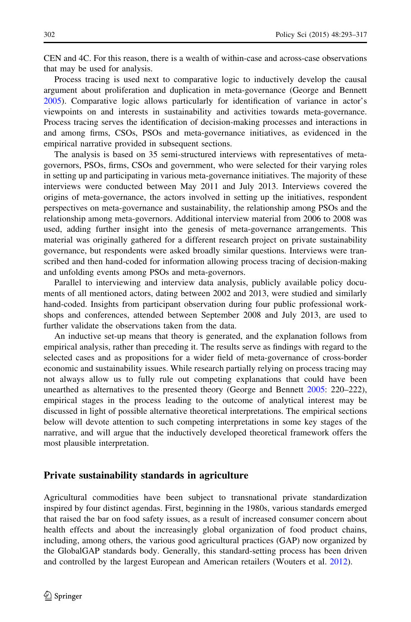<span id="page-10-0"></span>CEN and 4C. For this reason, there is a wealth of within-case and across-case observations that may be used for analysis.

Process tracing is used next to comparative logic to inductively develop the causal argument about proliferation and duplication in meta-governance (George and Bennett [2005\)](#page-24-0). Comparative logic allows particularly for identification of variance in actor's viewpoints on and interests in sustainability and activities towards meta-governance. Process tracing serves the identification of decision-making processes and interactions in and among firms, CSOs, PSOs and meta-governance initiatives, as evidenced in the empirical narrative provided in subsequent sections.

The analysis is based on 35 semi-structured interviews with representatives of metagovernors, PSOs, firms, CSOs and government, who were selected for their varying roles in setting up and participating in various meta-governance initiatives. The majority of these interviews were conducted between May 2011 and July 2013. Interviews covered the origins of meta-governance, the actors involved in setting up the initiatives, respondent perspectives on meta-governance and sustainability, the relationship among PSOs and the relationship among meta-governors. Additional interview material from 2006 to 2008 was used, adding further insight into the genesis of meta-governance arrangements. This material was originally gathered for a different research project on private sustainability governance, but respondents were asked broadly similar questions. Interviews were transcribed and then hand-coded for information allowing process tracing of decision-making and unfolding events among PSOs and meta-governors.

Parallel to interviewing and interview data analysis, publicly available policy documents of all mentioned actors, dating between 2002 and 2013, were studied and similarly hand-coded. Insights from participant observation during four public professional workshops and conferences, attended between September 2008 and July 2013, are used to further validate the observations taken from the data.

An inductive set-up means that theory is generated, and the explanation follows from empirical analysis, rather than preceding it. The results serve as findings with regard to the selected cases and as propositions for a wider field of meta-governance of cross-border economic and sustainability issues. While research partially relying on process tracing may not always allow us to fully rule out competing explanations that could have been unearthed as alternatives to the presented theory (George and Bennett [2005](#page-24-0): 220–222), empirical stages in the process leading to the outcome of analytical interest may be discussed in light of possible alternative theoretical interpretations. The empirical sections below will devote attention to such competing interpretations in some key stages of the narrative, and will argue that the inductively developed theoretical framework offers the most plausible interpretation.

#### Private sustainability standards in agriculture

Agricultural commodities have been subject to transnational private standardization inspired by four distinct agendas. First, beginning in the 1980s, various standards emerged that raised the bar on food safety issues, as a result of increased consumer concern about health effects and about the increasingly global organization of food product chains, including, among others, the various good agricultural practices (GAP) now organized by the GlobalGAP standards body. Generally, this standard-setting process has been driven and controlled by the largest European and American retailers (Wouters et al. [2012\)](#page-25-0).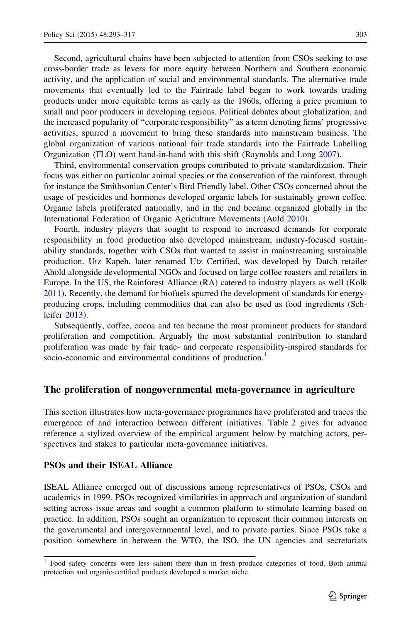<span id="page-11-0"></span>Second, agricultural chains have been subjected to attention from CSOs seeking to use cross-border trade as levers for more equity between Northern and Southern economic activity, and the application of social and environmental standards. The alternative trade movements that eventually led to the Fairtrade label began to work towards trading products under more equitable terms as early as the 1960s, offering a price premium to small and poor producers in developing regions. Political debates about globalization, and the increased popularity of ''corporate responsibility'' as a term denoting firms' progressive activities, spurred a movement to bring these standards into mainstream business. The global organization of various national fair trade standards into the Fairtrade Labelling Organization (FLO) went hand-in-hand with this shift (Raynolds and Long [2007\)](#page-25-0).

Third, environmental conservation groups contributed to private standardization. Their focus was either on particular animal species or the conservation of the rainforest, through for instance the Smithsonian Center's Bird Friendly label. Other CSOs concerned about the usage of pesticides and hormones developed organic labels for sustainably grown coffee. Organic labels proliferated nationally, and in the end became organized globally in the International Federation of Organic Agriculture Movements (Auld [2010\)](#page-23-0).

Fourth, industry players that sought to respond to increased demands for corporate responsibility in food production also developed mainstream, industry-focused sustainability standards, together with CSOs that wanted to assist in mainstreaming sustainable production. Utz Kapeh, later renamed Utz Certified, was developed by Dutch retailer Ahold alongside developmental NGOs and focused on large coffee roasters and retailers in Europe. In the US, the Rainforest Alliance (RA) catered to industry players as well (Kolk [2011\)](#page-24-0). Recently, the demand for biofuels spurred the development of standards for energyproducing crops, including commodities that can also be used as food ingredients (Schleifer [2013\)](#page-25-0).

Subsequently, coffee, cocoa and tea became the most prominent products for standard proliferation and competition. Arguably the most substantial contribution to standard proliferation was made by fair trade- and corporate responsibility-inspired standards for socio-economic and environmental conditions of production.<sup>1</sup>

#### The proliferation of nongovernmental meta-governance in agriculture

This section illustrates how meta-governance programmes have proliferated and traces the emergence of and interaction between different initiatives. Table [2](#page-12-0) gives for advance reference a stylized overview of the empirical argument below by matching actors, perspectives and stakes to particular meta-governance initiatives.

#### PSOs and their ISEAL Alliance

ISEAL Alliance emerged out of discussions among representatives of PSOs, CSOs and academics in 1999. PSOs recognized similarities in approach and organization of standard setting across issue areas and sought a common platform to stimulate learning based on practice. In addition, PSOs sought an organization to represent their common interests on the governmental and intergovernmental level, and to private parties. Since PSOs take a position somewhere in between the WTO, the ISO, the UN agencies and secretariats

<sup>1</sup> Food safety concerns were less salient there than in fresh produce categories of food. Both animal protection and organic-certified products developed a market niche.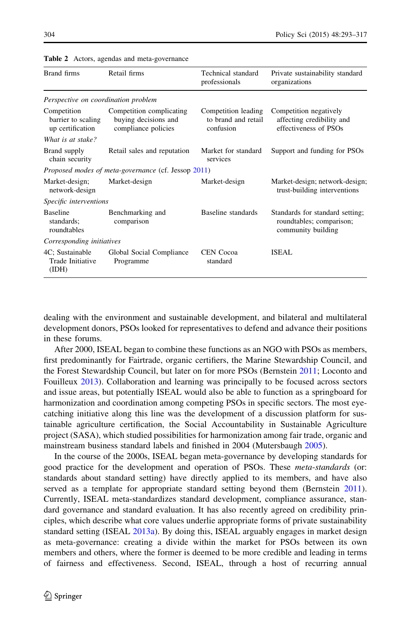| Brand firms                                           | Retail firms                                                            | Technical standard<br>professionals                     | Private sustainability standard<br>organizations                                  |
|-------------------------------------------------------|-------------------------------------------------------------------------|---------------------------------------------------------|-----------------------------------------------------------------------------------|
| Perspective on coordination problem                   |                                                                         |                                                         |                                                                                   |
| Competition<br>barrier to scaling<br>up certification | Competition complicating<br>buying decisions and<br>compliance policies | Competition leading<br>to brand and retail<br>confusion | Competition negatively<br>affecting credibility and<br>effectiveness of PSOs      |
| What is at stake?                                     |                                                                         |                                                         |                                                                                   |
| Brand supply<br>chain security                        | Retail sales and reputation                                             | Market for standard<br>services                         | Support and funding for PSOs                                                      |
|                                                       | <i>Proposed modes of meta-governance</i> (cf. Jessop 2011)              |                                                         |                                                                                   |
| Market-design;<br>network-design                      | Market-design                                                           | Market-design                                           | Market-design; network-design;<br>trust-building interventions                    |
| Specific interventions                                |                                                                         |                                                         |                                                                                   |
| <b>Baseline</b><br>standards;<br>roundtables          | Benchmarking and<br>comparison                                          | Baseline standards                                      | Standards for standard setting;<br>roundtables; comparison;<br>community building |
| Corresponding initiatives                             |                                                                         |                                                         |                                                                                   |
| 4C; Sustainable<br>Trade Initiative<br>(IDH)          | Global Social Compliance<br>Programme                                   | <b>CEN</b> Cocoa<br>standard                            | ISEAL                                                                             |

<span id="page-12-0"></span>Table 2 Actors, agendas and meta-governance

dealing with the environment and sustainable development, and bilateral and multilateral development donors, PSOs looked for representatives to defend and advance their positions in these forums.

After 2000, ISEAL began to combine these functions as an NGO with PSOs as members, first predominantly for Fairtrade, organic certifiers, the Marine Stewardship Council, and the Forest Stewardship Council, but later on for more PSOs (Bernstein [2011](#page-23-0); Loconto and Fouilleux [2013](#page-24-0)). Collaboration and learning was principally to be focused across sectors and issue areas, but potentially ISEAL would also be able to function as a springboard for harmonization and coordination among competing PSOs in specific sectors. The most eyecatching initiative along this line was the development of a discussion platform for sustainable agriculture certification, the Social Accountability in Sustainable Agriculture project (SASA), which studied possibilities for harmonization among fair trade, organic and mainstream business standard labels and finished in 2004 (Mutersbaugh [2005\)](#page-24-0).

In the course of the 2000s, ISEAL began meta-governance by developing standards for good practice for the development and operation of PSOs. These *meta-standards* (or: standards about standard setting) have directly applied to its members, and have also served as a template for appropriate standard setting beyond them (Bernstein [2011](#page-23-0)). Currently, ISEAL meta-standardizes standard development, compliance assurance, standard governance and standard evaluation. It has also recently agreed on credibility principles, which describe what core values underlie appropriate forms of private sustainability standard setting (ISEAL [2013a](#page-24-0)). By doing this, ISEAL arguably engages in market design as meta-governance: creating a divide within the market for PSOs between its own members and others, where the former is deemed to be more credible and leading in terms of fairness and effectiveness. Second, ISEAL, through a host of recurring annual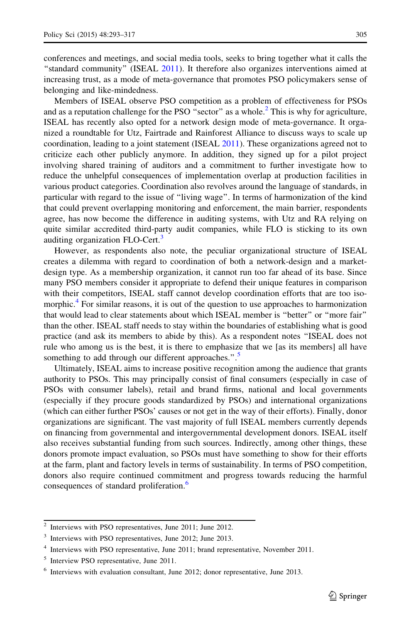conferences and meetings, and social media tools, seeks to bring together what it calls the ''standard community'' (ISEAL [2011\)](#page-24-0). It therefore also organizes interventions aimed at increasing trust, as a mode of meta-governance that promotes PSO policymakers sense of belonging and like-mindedness.

Members of ISEAL observe PSO competition as a problem of effectiveness for PSOs and as a reputation challenge for the PSO "sector" as a whole.<sup>2</sup> This is why for agriculture, ISEAL has recently also opted for a network design mode of meta-governance. It organized a roundtable for Utz, Fairtrade and Rainforest Alliance to discuss ways to scale up coordination, leading to a joint statement (ISEAL [2011](#page-24-0)). These organizations agreed not to criticize each other publicly anymore. In addition, they signed up for a pilot project involving shared training of auditors and a commitment to further investigate how to reduce the unhelpful consequences of implementation overlap at production facilities in various product categories. Coordination also revolves around the language of standards, in particular with regard to the issue of ''living wage''. In terms of harmonization of the kind that could prevent overlapping monitoring and enforcement, the main barrier, respondents agree, has now become the difference in auditing systems, with Utz and RA relying on quite similar accredited third-party audit companies, while FLO is sticking to its own auditing organization FLO-Cert.<sup>3</sup>

However, as respondents also note, the peculiar organizational structure of ISEAL creates a dilemma with regard to coordination of both a network-design and a marketdesign type. As a membership organization, it cannot run too far ahead of its base. Since many PSO members consider it appropriate to defend their unique features in comparison with their competitors, ISEAL staff cannot develop coordination efforts that are too isomorphic.<sup>4</sup> For similar reasons, it is out of the question to use approaches to harmonization that would lead to clear statements about which ISEAL member is ''better'' or ''more fair'' than the other. ISEAL staff needs to stay within the boundaries of establishing what is good practice (and ask its members to abide by this). As a respondent notes ''ISEAL does not rule who among us is the best, it is there to emphasize that we [as its members] all have something to add through our different approaches.".<sup>5</sup>

Ultimately, ISEAL aims to increase positive recognition among the audience that grants authority to PSOs. This may principally consist of final consumers (especially in case of PSOs with consumer labels), retail and brand firms, national and local governments (especially if they procure goods standardized by PSOs) and international organizations (which can either further PSOs' causes or not get in the way of their efforts). Finally, donor organizations are significant. The vast majority of full ISEAL members currently depends on financing from governmental and intergovernmental development donors. ISEAL itself also receives substantial funding from such sources. Indirectly, among other things, these donors promote impact evaluation, so PSOs must have something to show for their efforts at the farm, plant and factory levels in terms of sustainability. In terms of PSO competition, donors also require continued commitment and progress towards reducing the harmful consequences of standard proliferation.<sup>6</sup>

<sup>2</sup> Interviews with PSO representatives, June 2011; June 2012.

Interviews with PSO representatives, June 2012; June 2013.

<sup>&</sup>lt;sup>4</sup> Interviews with PSO representative, June 2011; brand representative, November 2011.

<sup>&</sup>lt;sup>5</sup> Interview PSO representative, June 2011.

<sup>6</sup> Interviews with evaluation consultant, June 2012; donor representative, June 2013.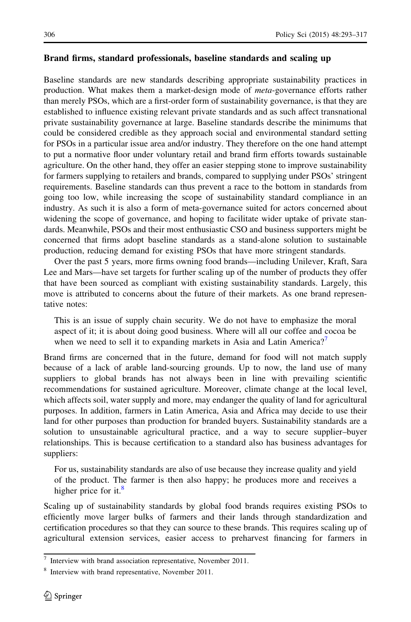#### Brand firms, standard professionals, baseline standards and scaling up

Baseline standards are new standards describing appropriate sustainability practices in production. What makes them a market-design mode of meta-governance efforts rather than merely PSOs, which are a first-order form of sustainability governance, is that they are established to influence existing relevant private standards and as such affect transnational private sustainability governance at large. Baseline standards describe the minimums that could be considered credible as they approach social and environmental standard setting for PSOs in a particular issue area and/or industry. They therefore on the one hand attempt to put a normative floor under voluntary retail and brand firm efforts towards sustainable agriculture. On the other hand, they offer an easier stepping stone to improve sustainability for farmers supplying to retailers and brands, compared to supplying under PSOs' stringent requirements. Baseline standards can thus prevent a race to the bottom in standards from going too low, while increasing the scope of sustainability standard compliance in an industry. As such it is also a form of meta-governance suited for actors concerned about widening the scope of governance, and hoping to facilitate wider uptake of private standards. Meanwhile, PSOs and their most enthusiastic CSO and business supporters might be concerned that firms adopt baseline standards as a stand-alone solution to sustainable production, reducing demand for existing PSOs that have more stringent standards.

Over the past 5 years, more firms owning food brands—including Unilever, Kraft, Sara Lee and Mars—have set targets for further scaling up of the number of products they offer that have been sourced as compliant with existing sustainability standards. Largely, this move is attributed to concerns about the future of their markets. As one brand representative notes:

This is an issue of supply chain security. We do not have to emphasize the moral aspect of it; it is about doing good business. Where will all our coffee and cocoa be when we need to sell it to expanding markets in Asia and Latin America?<sup>7</sup>

Brand firms are concerned that in the future, demand for food will not match supply because of a lack of arable land-sourcing grounds. Up to now, the land use of many suppliers to global brands has not always been in line with prevailing scientific recommendations for sustained agriculture. Moreover, climate change at the local level, which affects soil, water supply and more, may endanger the quality of land for agricultural purposes. In addition, farmers in Latin America, Asia and Africa may decide to use their land for other purposes than production for branded buyers. Sustainability standards are a solution to unsustainable agricultural practice, and a way to secure supplier–buyer relationships. This is because certification to a standard also has business advantages for suppliers:

For us, sustainability standards are also of use because they increase quality and yield of the product. The farmer is then also happy; he produces more and receives a higher price for it. $\frac{8}{3}$ 

Scaling up of sustainability standards by global food brands requires existing PSOs to efficiently move larger bulks of farmers and their lands through standardization and certification procedures so that they can source to these brands. This requires scaling up of agricultural extension services, easier access to preharvest financing for farmers in

Interview with brand association representative, November 2011.

Interview with brand representative, November 2011.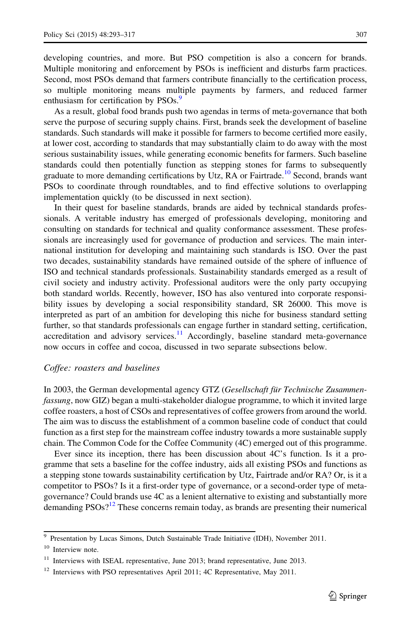developing countries, and more. But PSO competition is also a concern for brands. Multiple monitoring and enforcement by PSOs is inefficient and disturbs farm practices. Second, most PSOs demand that farmers contribute financially to the certification process, so multiple monitoring means multiple payments by farmers, and reduced farmer enthusiasm for certification by PSOs.<sup>9</sup>

As a result, global food brands push two agendas in terms of meta-governance that both serve the purpose of securing supply chains. First, brands seek the development of baseline standards. Such standards will make it possible for farmers to become certified more easily, at lower cost, according to standards that may substantially claim to do away with the most serious sustainability issues, while generating economic benefits for farmers. Such baseline standards could then potentially function as stepping stones for farms to subsequently graduate to more demanding certifications by Utz, RA or Fairtrade.<sup>10</sup> Second, brands want PSOs to coordinate through roundtables, and to find effective solutions to overlapping implementation quickly (to be discussed in next section).

In their quest for baseline standards, brands are aided by technical standards professionals. A veritable industry has emerged of professionals developing, monitoring and consulting on standards for technical and quality conformance assessment. These professionals are increasingly used for governance of production and services. The main international institution for developing and maintaining such standards is ISO. Over the past two decades, sustainability standards have remained outside of the sphere of influence of ISO and technical standards professionals. Sustainability standards emerged as a result of civil society and industry activity. Professional auditors were the only party occupying both standard worlds. Recently, however, ISO has also ventured into corporate responsibility issues by developing a social responsibility standard, SR 26000. This move is interpreted as part of an ambition for developing this niche for business standard setting further, so that standards professionals can engage further in standard setting, certification, accreditation and advisory services. $\frac{11}{11}$  Accordingly, baseline standard meta-governance now occurs in coffee and cocoa, discussed in two separate subsections below.

#### Coffee: roasters and baselines

In 2003, the German developmental agency GTZ (Gesellschaft für Technische Zusammenfassung, now GIZ) began a multi-stakeholder dialogue programme, to which it invited large coffee roasters, a host of CSOs and representatives of coffee growers from around the world. The aim was to discuss the establishment of a common baseline code of conduct that could function as a first step for the mainstream coffee industry towards a more sustainable supply chain. The Common Code for the Coffee Community (4C) emerged out of this programme.

Ever since its inception, there has been discussion about 4C's function. Is it a programme that sets a baseline for the coffee industry, aids all existing PSOs and functions as a stepping stone towards sustainability certification by Utz, Fairtrade and/or RA? Or, is it a competitor to PSOs? Is it a first-order type of governance, or a second-order type of metagovernance? Could brands use 4C as a lenient alternative to existing and substantially more demanding  $PSOs<sup>12</sup>$  These concerns remain today, as brands are presenting their numerical

<sup>9</sup> Presentation by Lucas Simons, Dutch Sustainable Trade Initiative (IDH), November 2011.

<sup>&</sup>lt;sup>10</sup> Interview note.

<sup>&</sup>lt;sup>11</sup> Interviews with ISEAL representative, June 2013; brand representative, June 2013.

<sup>&</sup>lt;sup>12</sup> Interviews with PSO representatives April 2011; 4C Representative, May 2011.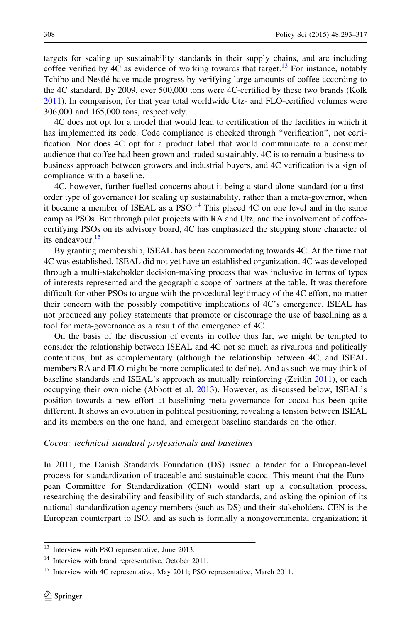targets for scaling up sustainability standards in their supply chains, and are including coffee verified by 4C as evidence of working towards that target.<sup>13</sup> For instance, notably Tchibo and Nestlé have made progress by verifying large amounts of coffee according to the 4C standard. By 2009, over 500,000 tons were 4C-certified by these two brands (Kolk [2011\)](#page-24-0). In comparison, for that year total worldwide Utz- and FLO-certified volumes were 306,000 and 165,000 tons, respectively.

4C does not opt for a model that would lead to certification of the facilities in which it has implemented its code. Code compliance is checked through ''verification'', not certification. Nor does 4C opt for a product label that would communicate to a consumer audience that coffee had been grown and traded sustainably. 4C is to remain a business-tobusiness approach between growers and industrial buyers, and 4C verification is a sign of compliance with a baseline.

4C, however, further fuelled concerns about it being a stand-alone standard (or a firstorder type of governance) for scaling up sustainability, rather than a meta-governor, when it became a member of ISEAL as a  $PSO<sup>14</sup>$ . This placed 4C on one level and in the same camp as PSOs. But through pilot projects with RA and Utz, and the involvement of coffeecertifying PSOs on its advisory board, 4C has emphasized the stepping stone character of its endeavour.<sup>15</sup>

By granting membership, ISEAL has been accommodating towards 4C. At the time that 4C was established, ISEAL did not yet have an established organization. 4C was developed through a multi-stakeholder decision-making process that was inclusive in terms of types of interests represented and the geographic scope of partners at the table. It was therefore difficult for other PSOs to argue with the procedural legitimacy of the 4C effort, no matter their concern with the possibly competitive implications of 4C's emergence. ISEAL has not produced any policy statements that promote or discourage the use of baselining as a tool for meta-governance as a result of the emergence of 4C.

On the basis of the discussion of events in coffee thus far, we might be tempted to consider the relationship between ISEAL and 4C not so much as rivalrous and politically contentious, but as complementary (although the relationship between 4C, and ISEAL members RA and FLO might be more complicated to define). And as such we may think of baseline standards and ISEAL's approach as mutually reinforcing (Zeitlin [2011](#page-25-0)), or each occupying their own niche (Abbott et al. [2013](#page-23-0)). However, as discussed below, ISEAL's position towards a new effort at baselining meta-governance for cocoa has been quite different. It shows an evolution in political positioning, revealing a tension between ISEAL and its members on the one hand, and emergent baseline standards on the other.

#### Cocoa: technical standard professionals and baselines

In 2011, the Danish Standards Foundation (DS) issued a tender for a European-level process for standardization of traceable and sustainable cocoa. This meant that the European Committee for Standardization (CEN) would start up a consultation process, researching the desirability and feasibility of such standards, and asking the opinion of its national standardization agency members (such as DS) and their stakeholders. CEN is the European counterpart to ISO, and as such is formally a nongovernmental organization; it

<sup>&</sup>lt;sup>13</sup> Interview with PSO representative, June 2013.

<sup>&</sup>lt;sup>14</sup> Interview with brand representative, October 2011.

<sup>&</sup>lt;sup>15</sup> Interview with 4C representative, May 2011; PSO representative, March 2011.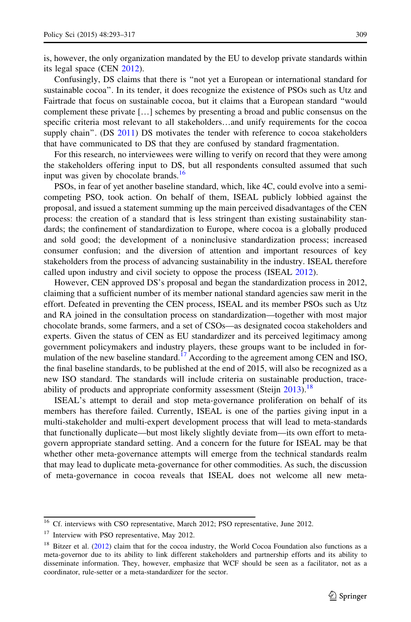is, however, the only organization mandated by the EU to develop private standards within its legal space (CEN [2012\)](#page-23-0).

Confusingly, DS claims that there is ''not yet a European or international standard for sustainable cocoa''. In its tender, it does recognize the existence of PSOs such as Utz and Fairtrade that focus on sustainable cocoa, but it claims that a European standard ''would complement these private […] schemes by presenting a broad and public consensus on the specific criteria most relevant to all stakeholders…and unify requirements for the cocoa supply chain". (DS [2011\)](#page-24-0) DS motivates the tender with reference to cocoa stakeholders that have communicated to DS that they are confused by standard fragmentation.

For this research, no interviewees were willing to verify on record that they were among the stakeholders offering input to DS, but all respondents consulted assumed that such input was given by chocolate brands. $\frac{16}{16}$ 

PSOs, in fear of yet another baseline standard, which, like 4C, could evolve into a semicompeting PSO, took action. On behalf of them, ISEAL publicly lobbied against the proposal, and issued a statement summing up the main perceived disadvantages of the CEN process: the creation of a standard that is less stringent than existing sustainability standards; the confinement of standardization to Europe, where cocoa is a globally produced and sold good; the development of a noninclusive standardization process; increased consumer confusion; and the diversion of attention and important resources of key stakeholders from the process of advancing sustainability in the industry. ISEAL therefore called upon industry and civil society to oppose the process (ISEAL [2012\)](#page-24-0).

However, CEN approved DS's proposal and began the standardization process in 2012, claiming that a sufficient number of its member national standard agencies saw merit in the effort. Defeated in preventing the CEN process, ISEAL and its member PSOs such as Utz and RA joined in the consultation process on standardization—together with most major chocolate brands, some farmers, and a set of CSOs—as designated cocoa stakeholders and experts. Given the status of CEN as EU standardizer and its perceived legitimacy among government policymakers and industry players, these groups want to be included in formulation of the new baseline standard.<sup>17</sup> According to the agreement among CEN and ISO, the final baseline standards, to be published at the end of 2015, will also be recognized as a new ISO standard. The standards will include criteria on sustainable production, trace-ability of products and appropriate conformity assessment (Steijn [2013](#page-25-0)).<sup>18</sup>

ISEAL's attempt to derail and stop meta-governance proliferation on behalf of its members has therefore failed. Currently, ISEAL is one of the parties giving input in a multi-stakeholder and multi-expert development process that will lead to meta-standards that functionally duplicate—but most likely slightly deviate from—its own effort to metagovern appropriate standard setting. And a concern for the future for ISEAL may be that whether other meta-governance attempts will emerge from the technical standards realm that may lead to duplicate meta-governance for other commodities. As such, the discussion of meta-governance in cocoa reveals that ISEAL does not welcome all new meta-

<sup>&</sup>lt;sup>16</sup> Cf. interviews with CSO representative, March 2012; PSO representative, June 2012.

<sup>&</sup>lt;sup>17</sup> Interview with PSO representative, May 2012.

<sup>&</sup>lt;sup>18</sup> Bitzer et al. ([2012\)](#page-23-0) claim that for the cocoa industry, the World Cocoa Foundation also functions as a meta-governor due to its ability to link different stakeholders and partnership efforts and its ability to disseminate information. They, however, emphasize that WCF should be seen as a facilitator, not as a coordinator, rule-setter or a meta-standardizer for the sector.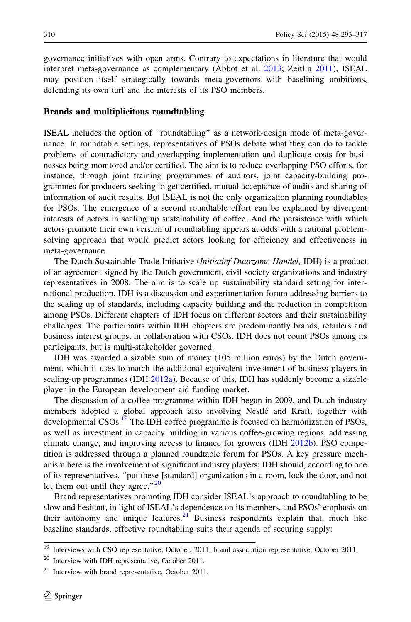governance initiatives with open arms. Contrary to expectations in literature that would interpret meta-governance as complementary (Abbot et al. [2013](#page-23-0); Zeitlin [2011](#page-25-0)), ISEAL may position itself strategically towards meta-governors with baselining ambitions, defending its own turf and the interests of its PSO members.

#### Brands and multiplicitous roundtabling

ISEAL includes the option of ''roundtabling'' as a network-design mode of meta-governance. In roundtable settings, representatives of PSOs debate what they can do to tackle problems of contradictory and overlapping implementation and duplicate costs for businesses being monitored and/or certified. The aim is to reduce overlapping PSO efforts, for instance, through joint training programmes of auditors, joint capacity-building programmes for producers seeking to get certified, mutual acceptance of audits and sharing of information of audit results. But ISEAL is not the only organization planning roundtables for PSOs. The emergence of a second roundtable effort can be explained by divergent interests of actors in scaling up sustainability of coffee. And the persistence with which actors promote their own version of roundtabling appears at odds with a rational problemsolving approach that would predict actors looking for efficiency and effectiveness in meta-governance.

The Dutch Sustainable Trade Initiative (Initiatief Duurzame Handel, IDH) is a product of an agreement signed by the Dutch government, civil society organizations and industry representatives in 2008. The aim is to scale up sustainability standard setting for international production. IDH is a discussion and experimentation forum addressing barriers to the scaling up of standards, including capacity building and the reduction in competition among PSOs. Different chapters of IDH focus on different sectors and their sustainability challenges. The participants within IDH chapters are predominantly brands, retailers and business interest groups, in collaboration with CSOs. IDH does not count PSOs among its participants, but is multi-stakeholder governed.

IDH was awarded a sizable sum of money (105 million euros) by the Dutch government, which it uses to match the additional equivalent investment of business players in scaling-up programmes (IDH [2012a](#page-24-0)). Because of this, IDH has suddenly become a sizable player in the European development aid funding market.

The discussion of a coffee programme within IDH began in 2009, and Dutch industry members adopted a global approach also involving Nestle´ and Kraft, together with developmental CSOs.<sup>19</sup> The IDH coffee programme is focused on harmonization of PSOs, as well as investment in capacity building in various coffee-growing regions, addressing climate change, and improving access to finance for growers (IDH [2012b\)](#page-24-0). PSO competition is addressed through a planned roundtable forum for PSOs. A key pressure mechanism here is the involvement of significant industry players; IDH should, according to one of its representatives, ''put these [standard] organizations in a room, lock the door, and not let them out until they agree." $^{20}$ 

Brand representatives promoting IDH consider ISEAL's approach to roundtabling to be slow and hesitant, in light of ISEAL's dependence on its members, and PSOs' emphasis on their autonomy and unique features.<sup>21</sup> Business respondents explain that, much like baseline standards, effective roundtabling suits their agenda of securing supply:

 $\frac{19}{19}$  Interviews with CSO representative, October, 2011; brand association representative, October 2011.

<sup>20</sup> Interview with IDH representative, October 2011.

<sup>21</sup> Interview with brand representative, October 2011.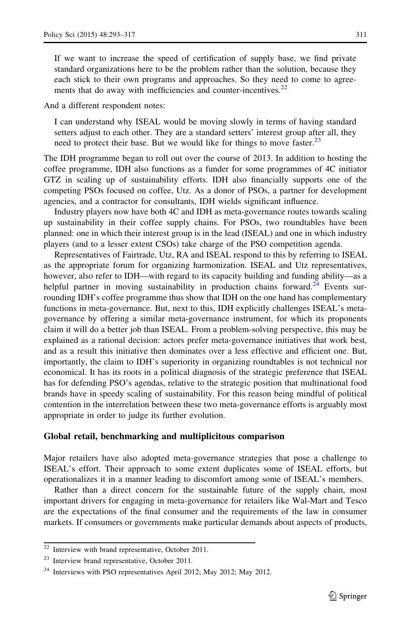If we want to increase the speed of certification of supply base, we find private standard organizations here to be the problem rather than the solution, because they each stick to their own programs and approaches. So they need to come to agreements that do away with inefficiencies and counter-incentives.<sup>22</sup>

And a different respondent notes:

I can understand why ISEAL would be moving slowly in terms of having standard setters adjust to each other. They are a standard setters' interest group after all, they need to protect their base. But we would like for things to move faster.<sup>23</sup>

The IDH programme began to roll out over the course of 2013. In addition to hosting the coffee programme, IDH also functions as a funder for some programmes of 4C initiator GTZ in scaling up of sustainability efforts. IDH also financially supports one of the competing PSOs focused on coffee, Utz. As a donor of PSOs, a partner for development agencies, and a contractor for consultants, IDH wields significant influence.

Industry players now have both 4C and IDH as meta-governance routes towards scaling up sustainability in their coffee supply chains. For PSOs, two roundtables have been planned: one in which their interest group is in the lead (ISEAL) and one in which industry players (and to a lesser extent CSOs) take charge of the PSO competition agenda.

Representatives of Fairtrade, Utz, RA and ISEAL respond to this by referring to ISEAL as the appropriate forum for organizing harmonization. ISEAL and Utz representatives, however, also refer to IDH—with regard to its capacity building and funding ability—as a helpful partner in moving sustainability in production chains forward.<sup>24</sup> Events surrounding IDH's coffee programme thus show that IDH on the one hand has complementary functions in meta-governance. But, next to this, IDH explicitly challenges ISEAL's metagovernance by offering a similar meta-governance instrument, for which its proponents claim it will do a better job than ISEAL. From a problem-solving perspective, this may be explained as a rational decision: actors prefer meta-governance initiatives that work best, and as a result this initiative then dominates over a less effective and efficient one. But, importantly, the claim to IDH's superiority in organizing roundtables is not technical nor economical. It has its roots in a political diagnosis of the strategic preference that ISEAL has for defending PSO's agendas, relative to the strategic position that multinational food brands have in speedy scaling of sustainability. For this reason being mindful of political contention in the interrelation between these two meta-governance efforts is arguably most appropriate in order to judge its further evolution.

#### Global retail, benchmarking and multiplicitous comparison

Major retailers have also adopted meta-governance strategies that pose a challenge to ISEAL's effort. Their approach to some extent duplicates some of ISEAL efforts, but operationalizes it in a manner leading to discomfort among some of ISEAL's members.

Rather than a direct concern for the sustainable future of the supply chain, most important drivers for engaging in meta-governance for retailers like Wal-Mart and Tesco are the expectations of the final consumer and the requirements of the law in consumer markets. If consumers or governments make particular demands about aspects of products,

 $\overline{22}$  Interview with brand representative, October 2011.

<sup>23</sup> Interview brand representative, October 2011.

<sup>&</sup>lt;sup>24</sup> Interviews with PSO representatives April 2012; May 2012; May 2012.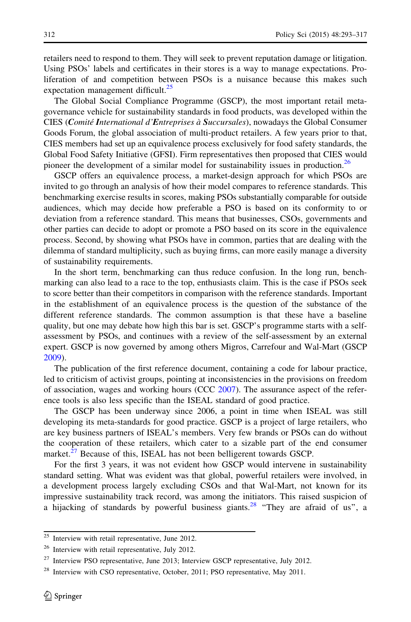retailers need to respond to them. They will seek to prevent reputation damage or litigation. Using PSOs' labels and certificates in their stores is a way to manage expectations. Proliferation of and competition between PSOs is a nuisance because this makes such expectation management difficult.<sup>25</sup>

The Global Social Compliance Programme (GSCP), the most important retail metagovernance vehicle for sustainability standards in food products, was developed within the CIES (Comité International d'Entreprises à Succursales), nowadays the Global Consumer Goods Forum, the global association of multi-product retailers. A few years prior to that, CIES members had set up an equivalence process exclusively for food safety standards, the Global Food Safety Initiative (GFSI). Firm representatives then proposed that CIES would pioneer the development of a similar model for sustainability issues in production.<sup>26</sup>

GSCP offers an equivalence process, a market-design approach for which PSOs are invited to go through an analysis of how their model compares to reference standards. This benchmarking exercise results in scores, making PSOs substantially comparable for outside audiences, which may decide how preferable a PSO is based on its conformity to or deviation from a reference standard. This means that businesses, CSOs, governments and other parties can decide to adopt or promote a PSO based on its score in the equivalence process. Second, by showing what PSOs have in common, parties that are dealing with the dilemma of standard multiplicity, such as buying firms, can more easily manage a diversity of sustainability requirements.

In the short term, benchmarking can thus reduce confusion. In the long run, benchmarking can also lead to a race to the top, enthusiasts claim. This is the case if PSOs seek to score better than their competitors in comparison with the reference standards. Important in the establishment of an equivalence process is the question of the substance of the different reference standards. The common assumption is that these have a baseline quality, but one may debate how high this bar is set. GSCP's programme starts with a selfassessment by PSOs, and continues with a review of the self-assessment by an external expert. GSCP is now governed by among others Migros, Carrefour and Wal-Mart (GSCP [2009\)](#page-24-0).

The publication of the first reference document, containing a code for labour practice, led to criticism of activist groups, pointing at inconsistencies in the provisions on freedom of association, wages and working hours (CCC [2007](#page-23-0)). The assurance aspect of the reference tools is also less specific than the ISEAL standard of good practice.

The GSCP has been underway since 2006, a point in time when ISEAL was still developing its meta-standards for good practice. GSCP is a project of large retailers, who are key business partners of ISEAL's members. Very few brands or PSOs can do without the cooperation of these retailers, which cater to a sizable part of the end consumer market.<sup>27</sup> Because of this, ISEAL has not been belligerent towards GSCP.

For the first 3 years, it was not evident how GSCP would intervene in sustainability standard setting. What was evident was that global, powerful retailers were involved, in a development process largely excluding CSOs and that Wal-Mart, not known for its impressive sustainability track record, was among the initiators. This raised suspicion of a hijacking of standards by powerful business giants.<sup>28</sup> "They are afraid of us", a

<sup>25</sup> Interview with retail representative, June 2012.

<sup>&</sup>lt;sup>26</sup> Interview with retail representative, July 2012.

<sup>&</sup>lt;sup>27</sup> Interview PSO representative, June 2013; Interview GSCP representative, July 2012.

<sup>&</sup>lt;sup>28</sup> Interview with CSO representative, October, 2011; PSO representative, May 2011.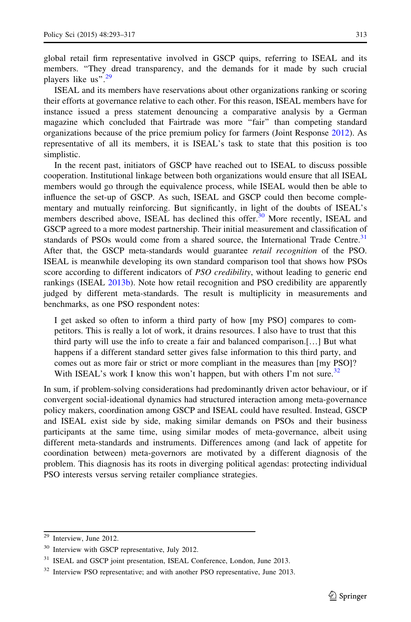global retail firm representative involved in GSCP quips, referring to ISEAL and its members. "They dread transparency, and the demands for it made by such crucial players like us".<sup>29</sup>

ISEAL and its members have reservations about other organizations ranking or scoring their efforts at governance relative to each other. For this reason, ISEAL members have for instance issued a press statement denouncing a comparative analysis by a German magazine which concluded that Fairtrade was more ''fair'' than competing standard organizations because of the price premium policy for farmers (Joint Response [2012\)](#page-24-0). As representative of all its members, it is ISEAL's task to state that this position is too simplistic.

In the recent past, initiators of GSCP have reached out to ISEAL to discuss possible cooperation. Institutional linkage between both organizations would ensure that all ISEAL members would go through the equivalence process, while ISEAL would then be able to influence the set-up of GSCP. As such, ISEAL and GSCP could then become complementary and mutually reinforcing. But significantly, in light of the doubts of ISEAL's members described above, ISEAL has declined this offer.<sup>30</sup> More recently, ISEAL and GSCP agreed to a more modest partnership. Their initial measurement and classification of standards of PSOs would come from a shared source, the International Trade Centre.<sup>31</sup> After that, the GSCP meta-standards would guarantee retail recognition of the PSO. ISEAL is meanwhile developing its own standard comparison tool that shows how PSOs score according to different indicators of PSO credibility, without leading to generic end rankings (ISEAL [2013b](#page-24-0)). Note how retail recognition and PSO credibility are apparently judged by different meta-standards. The result is multiplicity in measurements and benchmarks, as one PSO respondent notes:

I get asked so often to inform a third party of how [my PSO] compares to competitors. This is really a lot of work, it drains resources. I also have to trust that this third party will use the info to create a fair and balanced comparison.[…] But what happens if a different standard setter gives false information to this third party, and comes out as more fair or strict or more compliant in the measures than [my PSO]? With ISEAL's work I know this won't happen, but with others I'm not sure.<sup>32</sup>

In sum, if problem-solving considerations had predominantly driven actor behaviour, or if convergent social-ideational dynamics had structured interaction among meta-governance policy makers, coordination among GSCP and ISEAL could have resulted. Instead, GSCP and ISEAL exist side by side, making similar demands on PSOs and their business participants at the same time, using similar modes of meta-governance, albeit using different meta-standards and instruments. Differences among (and lack of appetite for coordination between) meta-governors are motivated by a different diagnosis of the problem. This diagnosis has its roots in diverging political agendas: protecting individual PSO interests versus serving retailer compliance strategies.

 $\overline{29}$  Interview, June 2012.

<sup>&</sup>lt;sup>30</sup> Interview with GSCP representative, July 2012.

<sup>&</sup>lt;sup>31</sup> ISEAL and GSCP joint presentation, ISEAL Conference, London, June 2013.

<sup>&</sup>lt;sup>32</sup> Interview PSO representative; and with another PSO representative, June 2013.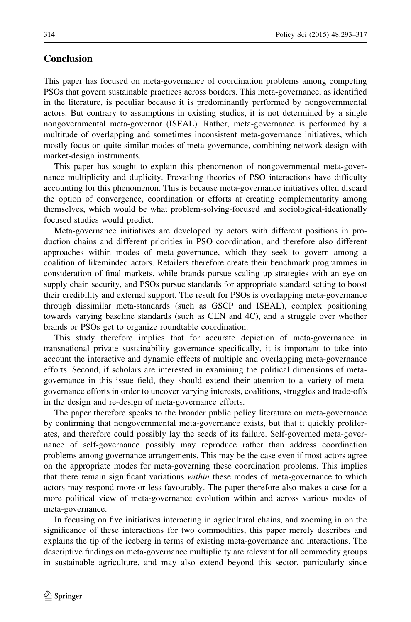#### <span id="page-22-0"></span>Conclusion

This paper has focused on meta-governance of coordination problems among competing PSOs that govern sustainable practices across borders. This meta-governance, as identified in the literature, is peculiar because it is predominantly performed by nongovernmental actors. But contrary to assumptions in existing studies, it is not determined by a single nongovernmental meta-governor (ISEAL). Rather, meta-governance is performed by a multitude of overlapping and sometimes inconsistent meta-governance initiatives, which mostly focus on quite similar modes of meta-governance, combining network-design with market-design instruments.

This paper has sought to explain this phenomenon of nongovernmental meta-governance multiplicity and duplicity. Prevailing theories of PSO interactions have difficulty accounting for this phenomenon. This is because meta-governance initiatives often discard the option of convergence, coordination or efforts at creating complementarity among themselves, which would be what problem-solving-focused and sociological-ideationally focused studies would predict.

Meta-governance initiatives are developed by actors with different positions in production chains and different priorities in PSO coordination, and therefore also different approaches within modes of meta-governance, which they seek to govern among a coalition of likeminded actors. Retailers therefore create their benchmark programmes in consideration of final markets, while brands pursue scaling up strategies with an eye on supply chain security, and PSOs pursue standards for appropriate standard setting to boost their credibility and external support. The result for PSOs is overlapping meta-governance through dissimilar meta-standards (such as GSCP and ISEAL), complex positioning towards varying baseline standards (such as CEN and 4C), and a struggle over whether brands or PSOs get to organize roundtable coordination.

This study therefore implies that for accurate depiction of meta-governance in transnational private sustainability governance specifically, it is important to take into account the interactive and dynamic effects of multiple and overlapping meta-governance efforts. Second, if scholars are interested in examining the political dimensions of metagovernance in this issue field, they should extend their attention to a variety of metagovernance efforts in order to uncover varying interests, coalitions, struggles and trade-offs in the design and re-design of meta-governance efforts.

The paper therefore speaks to the broader public policy literature on meta-governance by confirming that nongovernmental meta-governance exists, but that it quickly proliferates, and therefore could possibly lay the seeds of its failure. Self-governed meta-governance of self-governance possibly may reproduce rather than address coordination problems among governance arrangements. This may be the case even if most actors agree on the appropriate modes for meta-governing these coordination problems. This implies that there remain significant variations within these modes of meta-governance to which actors may respond more or less favourably. The paper therefore also makes a case for a more political view of meta-governance evolution within and across various modes of meta-governance.

In focusing on five initiatives interacting in agricultural chains, and zooming in on the significance of these interactions for two commodities, this paper merely describes and explains the tip of the iceberg in terms of existing meta-governance and interactions. The descriptive findings on meta-governance multiplicity are relevant for all commodity groups in sustainable agriculture, and may also extend beyond this sector, particularly since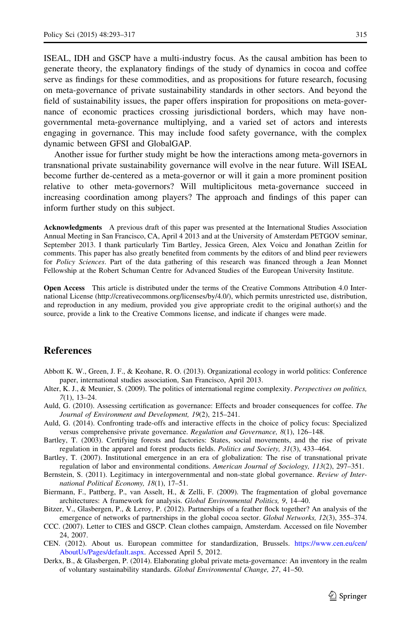<span id="page-23-0"></span>ISEAL, IDH and GSCP have a multi-industry focus. As the causal ambition has been to generate theory, the explanatory findings of the study of dynamics in cocoa and coffee serve as findings for these commodities, and as propositions for future research, focusing on meta-governance of private sustainability standards in other sectors. And beyond the field of sustainability issues, the paper offers inspiration for propositions on meta-governance of economic practices crossing jurisdictional borders, which may have nongovernmental meta-governance multiplying, and a varied set of actors and interests engaging in governance. This may include food safety governance, with the complex dynamic between GFSI and GlobalGAP.

Another issue for further study might be how the interactions among meta-governors in transnational private sustainability governance will evolve in the near future. Will ISEAL become further de-centered as a meta-governor or will it gain a more prominent position relative to other meta-governors? Will multiplicitous meta-governance succeed in increasing coordination among players? The approach and findings of this paper can inform further study on this subject.

Acknowledgments A previous draft of this paper was presented at the International Studies Association Annual Meeting in San Francisco, CA, April 4 2013 and at the University of Amsterdam PETGOV seminar, September 2013. I thank particularly Tim Bartley, Jessica Green, Alex Voicu and Jonathan Zeitlin for comments. This paper has also greatly benefited from comments by the editors of and blind peer reviewers for Policy Sciences. Part of the data gathering of this research was financed through a Jean Monnet Fellowship at the Robert Schuman Centre for Advanced Studies of the European University Institute.

Open Access This article is distributed under the terms of the Creative Commons Attribution 4.0 International License (http://creativecommons.org/licenses/by/4.0/), which permits unrestricted use, distribution, and reproduction in any medium, provided you give appropriate credit to the original author(s) and the source, provide a link to the Creative Commons license, and indicate if changes were made.

#### **References**

- Abbott K. W., Green, J. F., & Keohane, R. O. (2013). Organizational ecology in world politics: Conference paper, international studies association, San Francisco, April 2013.
- Alter, K. J., & Meunier, S. (2009). The politics of international regime complexity. Perspectives on politics, 7(1), 13–24.
- Auld, G. (2010). Assessing certification as governance: Effects and broader consequences for coffee. The Journal of Environment and Development, 19(2), 215–241.
- Auld, G. (2014). Confronting trade-offs and interactive effects in the choice of policy focus: Specialized versus comprehensive private governance. Regulation and Governance, 8(1), 126–148.
- Bartley, T. (2003). Certifying forests and factories: States, social movements, and the rise of private regulation in the apparel and forest products fields. Politics and Society, 31(3), 433–464.
- Bartley, T. (2007). Institutional emergence in an era of globalization: The rise of transnational private regulation of labor and environmental conditions. American Journal of Sociology, 113(2), 297–351.
- Bernstein, S. (2011). Legitimacy in intergovernmental and non-state global governance. Review of International Political Economy, 18(1), 17–51.
- Biermann, F., Pattberg, P., van Asselt, H., & Zelli, F. (2009). The fragmentation of global governance architectures: A framework for analysis. Global Environmental Politics, 9, 14–40.
- Bitzer, V., Glasbergen, P., & Leroy, P. (2012). Partnerships of a feather flock together? An analysis of the emergence of networks of partnerships in the global cocoa sector. Global Networks, 12(3), 355–374.
- CCC. (2007). Letter to CIES and GSCP. Clean clothes campaign, Amsterdam. Accessed on file November 24, 2007.
- CEN. (2012). About us. European committee for standardization, Brussels. [https://www.cen.eu/cen/](https://www.cen.eu/cen/AboutUs/Pages/default.aspx) [AboutUs/Pages/default.aspx](https://www.cen.eu/cen/AboutUs/Pages/default.aspx). Accessed April 5, 2012.
- Derkx, B., & Glasbergen, P. (2014). Elaborating global private meta-governance: An inventory in the realm of voluntary sustainability standards. Global Environmental Change, 27, 41–50.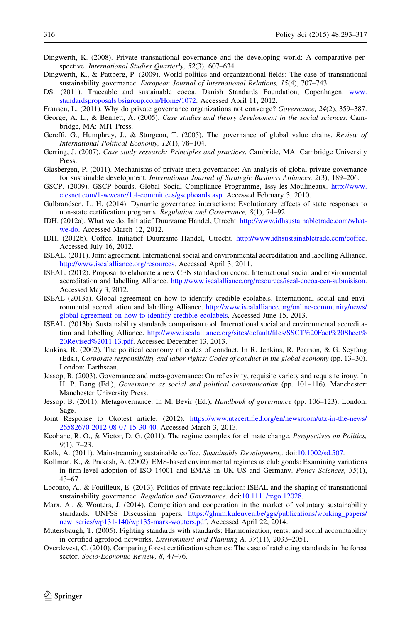- <span id="page-24-0"></span>Dingwerth, K. (2008). Private transnational governance and the developing world: A comparative perspective. International Studies Quarterly, 52(3), 607-634.
- Dingwerth, K., & Pattberg, P. (2009). World politics and organizational fields: The case of transnational sustainability governance. European Journal of International Relations, 15(4), 707–743.
- DS. (2011). Traceable and sustainable cocoa. Danish Standards Foundation, Copenhagen. [www.](http://www.standardsproposals.bsigroup.com/Home/1072) [standardsproposals.bsigroup.com/Home/1072.](http://www.standardsproposals.bsigroup.com/Home/1072) Accessed April 11, 2012.
- Fransen, L. (2011). Why do private governance organizations not converge? Governance, 24(2), 359–387.
- George, A. L., & Bennett, A. (2005). Case studies and theory development in the social sciences. Cambridge, MA: MIT Press.
- Gereffi, G., Humphrey, J., & Sturgeon, T. (2005). The governance of global value chains. Review of International Political Economy, 12(1), 78–104.
- Gerring, J. (2007). Case study research: Principles and practices. Cambride, MA: Cambridge University Press.
- Glasbergen, P. (2011). Mechanisms of private meta-governance: An analysis of global private governance for sustainable development. International Journal of Strategic Business Alliances, 2(3), 189–206.
- GSCP. (2009). GSCP boards. Global Social Compliance Programme, Issy-les-Moulineaux. [http://www.](http://www.ciesnet.com/1-wweare/1.4-committees/gscpboards.asp) [ciesnet.com/1-wweare/1.4-committees/gscpboards.asp.](http://www.ciesnet.com/1-wweare/1.4-committees/gscpboards.asp) Accessed February 3, 2010.
- Gulbrandsen, L. H. (2014). Dynamic governance interactions: Evolutionary effects of state responses to non-state certification programs. Regulation and Governance, 8(1), 74–92.
- IDH. (2012a). What we do. Initiatief Duurzame Handel, Utrecht. [http://www.idhsustainabletrade.com/what](http://www.idhsustainabletrade.com/what-we-do)[we-do.](http://www.idhsustainabletrade.com/what-we-do) Accessed March 12, 2012.
- IDH. (2012b). Coffee. Initiatief Duurzame Handel, Utrecht. [http://www.idhsustainabletrade.com/coffee.](http://www.idhsustainabletrade.com/coffee) Accessed July 16, 2012.
- ISEAL. (2011). Joint agreement. International social and environmental accreditation and labelling Alliance. <http://www.isealalliance.org/resources>. Accessed April 3, 2011.
- ISEAL. (2012). Proposal to elaborate a new CEN standard on cocoa. International social and environmental accreditation and labelling Alliance. [http://www.isealalliance.org/resources/iseal-cocoa-cen-submisison.](http://www.isealalliance.org/resources/iseal-cocoa-cen-submisison) Accessed May 3, 2012.
- ISEAL (2013a). Global agreement on how to identify credible ecolabels. International social and environmental accreditation and labelling Alliance. [http://www.isealalliance.org/online-community/news/](http://www.isealalliance.org/online-community/news/global-agreement-on-how-to-identify-credible-ecolabels) [global-agreement-on-how-to-identify-credible-ecolabels.](http://www.isealalliance.org/online-community/news/global-agreement-on-how-to-identify-credible-ecolabels) Accessed June 15, 2013.
- ISEAL. (2013b). Sustainability standards comparison tool. International social and environmental accreditation and labelling Alliance. [http://www.isealalliance.org/sites/default/files/SSCT%20Fact%20Sheet%](http://www.isealalliance.org/sites/default/files/SSCT%20Fact%20Sheet%20Revised%2011.13.pdf) [20Revised%2011.13.pdf](http://www.isealalliance.org/sites/default/files/SSCT%20Fact%20Sheet%20Revised%2011.13.pdf). Accessed December 13, 2013.
- Jenkins, R. (2002). The political economy of codes of conduct. In R. Jenkins, R. Pearson, & G. Seyfang (Eds.), Corporate responsibility and labor rights: Codes of conduct in the global economy (pp. 13–30). London: Earthscan.
- Jessop, B. (2003). Governance and meta-governance: On reflexivity, requisite variety and requisite irony. In H. P. Bang (Ed.), Governance as social and political communication (pp. 101–116). Manchester: Manchester University Press.
- Jessop, B. (2011). Metagovernance. In M. Bevir (Ed.), Handbook of governance (pp. 106–123). London: Sage.
- Joint Response to Okotest article. (2012). [https://www.utzcertified.org/en/newsroom/utz-in-the-news/](https://www.utzcertified.org/en/newsroom/utz-in-the-news/26582670-2012-08-07-15-30-40) [26582670-2012-08-07-15-30-40](https://www.utzcertified.org/en/newsroom/utz-in-the-news/26582670-2012-08-07-15-30-40). Accessed March 3, 2013.
- Keohane, R. O., & Victor, D. G. (2011). The regime complex for climate change. *Perspectives on Politics*, 9(1), 7–23.
- Kolk, A. (2011). Mainstreaming sustainable coffee. Sustainable Development,. doi[:10.1002/sd.507](http://dx.doi.org/10.1002/sd.507).
- Kollman, K., & Prakash, A. (2002). EMS-based environmental regimes as club goods: Examining variations in firm-level adoption of ISO 14001 and EMAS in UK US and Germany. Policy Sciences, 35(1), 43–67.
- Loconto, A., & Fouilleux, E. (2013). Politics of private regulation: ISEAL and the shaping of transnational sustainability governance. Regulation and Governance. doi:[10.1111/rego.12028.](http://dx.doi.org/10.1111/rego.12028)
- Marx, A., & Wouters, J. (2014). Competition and cooperation in the market of voluntary sustainability standards. UNFSS Discussion papers. [https://ghum.kuleuven.be/ggs/publications/working\\_papers/](https://ghum.kuleuven.be/ggs/publications/working_papers/new_series/wp131-140/wp135-marx-wouters.pdf) [new\\_series/wp131-140/wp135-marx-wouters.pdf.](https://ghum.kuleuven.be/ggs/publications/working_papers/new_series/wp131-140/wp135-marx-wouters.pdf) Accessed April 22, 2014.
- Mutersbaugh, T. (2005). Fighting standards with standards: Harmonization, rents, and social accountability in certified agrofood networks. Environment and Planning A, 37(11), 2033–2051.
- Overdevest, C. (2010). Comparing forest certification schemes: The case of ratcheting standards in the forest sector. Socio-Economic Review, 8, 47–76.